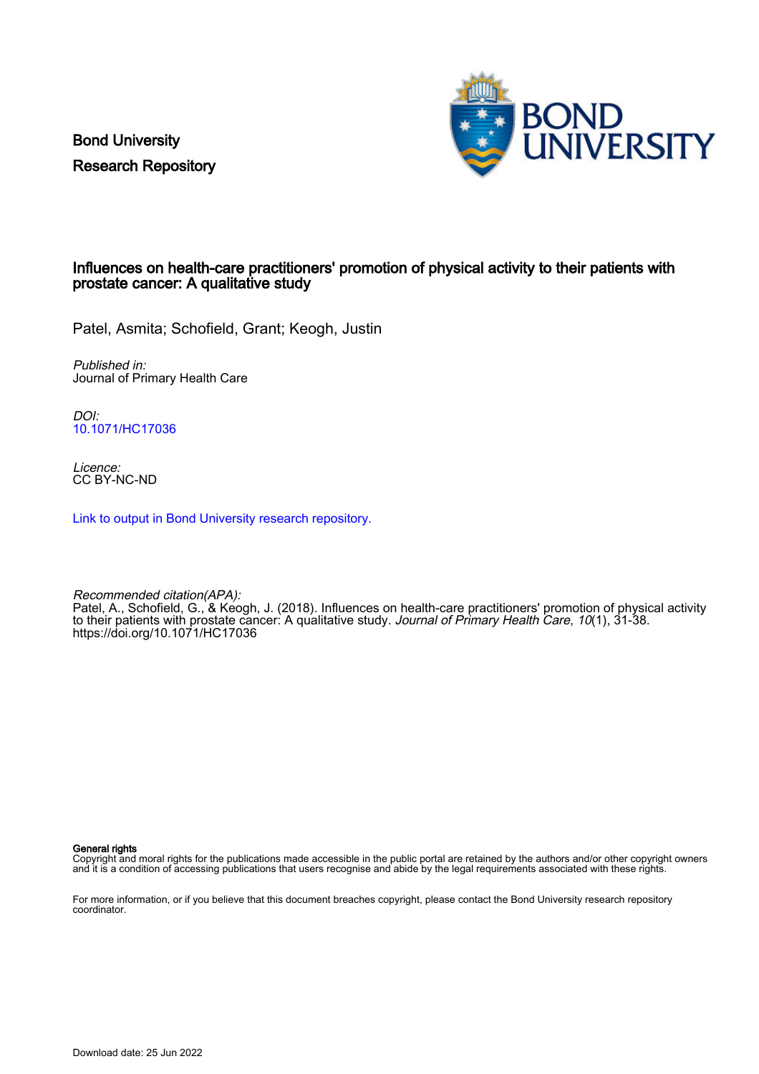Bond University Research Repository



### Influences on health-care practitioners' promotion of physical activity to their patients with prostate cancer: A qualitative study

Patel, Asmita; Schofield, Grant; Keogh, Justin

Published in: Journal of Primary Health Care

DOI: [10.1071/HC17036](https://doi.org/10.1071/HC17036)

Licence: CC BY-NC-ND

[Link to output in Bond University research repository.](https://research.bond.edu.au/en/publications/f3f42310-afdd-46c7-9a47-2b98820caa7d)

Recommended citation(APA): Patel, A., Schofield, G., & Keogh, J. (2018). Influences on health-care practitioners' promotion of physical activity to their patients with prostate cancer: A qualitative study. Journal of Primary Health Care, 10(1), 31-38. <https://doi.org/10.1071/HC17036>

General rights

Copyright and moral rights for the publications made accessible in the public portal are retained by the authors and/or other copyright owners and it is a condition of accessing publications that users recognise and abide by the legal requirements associated with these rights.

For more information, or if you believe that this document breaches copyright, please contact the Bond University research repository coordinator.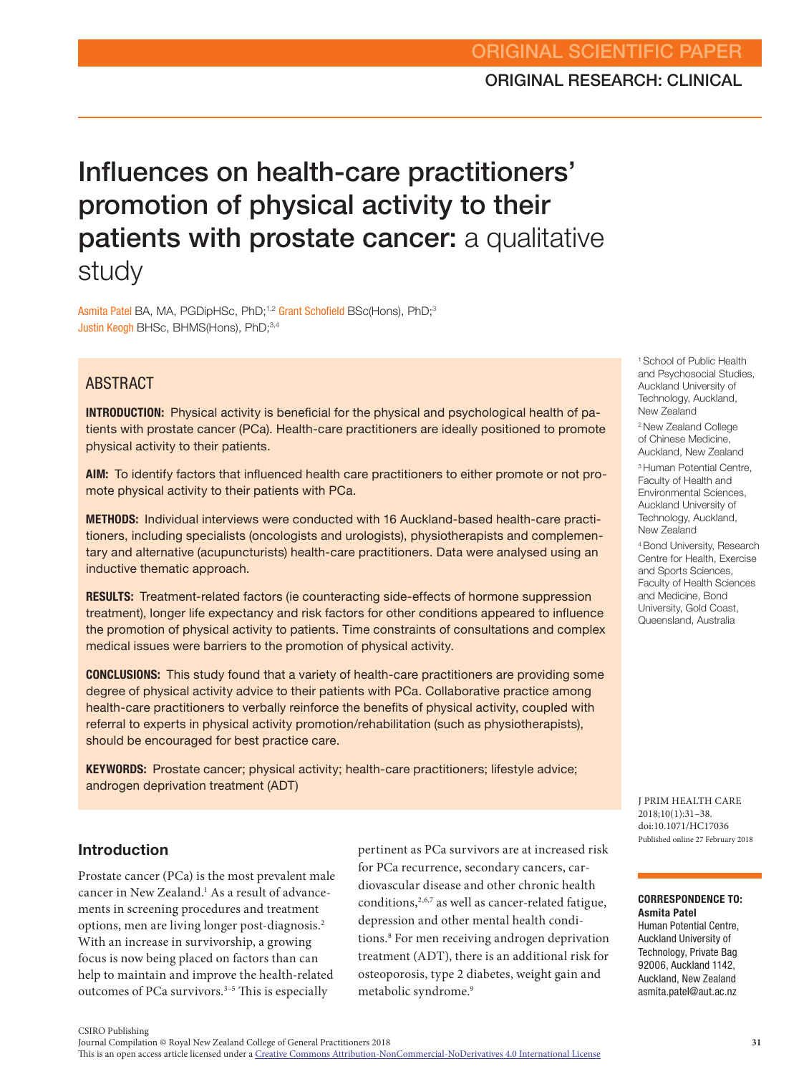# Influences on health-care practitioners' promotion of physical activity to their patients with prostate cancer: a qualitative study

Asmita Patel BA, MA, PGDipHSc, PhD;<sup>1,2</sup> Grant Schofield BSc(Hons), PhD;<sup>3</sup> Justin Keogh BHSc, BHMS(Hons), PhD;<sup>3,4</sup>

# ABSTRACT

INTRODUCTION: Physical activity is beneficial for the physical and psychological health of patients with prostate cancer (PCa). Health-care practitioners are ideally positioned to promote physical activity to their patients.

AIM: To identify factors that influenced health care practitioners to either promote or not promote physical activity to their patients with PCa.

METHODS: Individual interviews were conducted with 16 Auckland-based health-care practitioners, including specialists (oncologists and urologists), physiotherapists and complementary and alternative (acupuncturists) health-care practitioners. Data were analysed using an inductive thematic approach.

RESULTS: Treatment-related factors (ie counteracting side-effects of hormone suppression treatment), longer life expectancy and risk factors for other conditions appeared to influence the promotion of physical activity to patients. Time constraints of consultations and complex medical issues were barriers to the promotion of physical activity.

CONCLUSIONS: This study found that a variety of health-care practitioners are providing some degree of physical activity advice to their patients with PCa. Collaborative practice among health-care practitioners to verbally reinforce the benefits of physical activity, coupled with referral to experts in physical activity promotion/rehabilitation (such as physiotherapists), should be encouraged for best practice care.

KEYWORDS: Prostate cancer; physical activity; health-care practitioners; lifestyle advice; androgen deprivation treatment (ADT)

Introduction

Prostate cancer (PCa) is the most prevalent male cancer in New Zealand.<sup>1</sup> As a result of advancements in screening procedures and treatment options, men are living longer post-diagnosis.2 With an increase in survivorship, a growing focus is now being placed on factors than can help to maintain and improve the health-related outcomes of PCa survivors.<sup>3-5</sup> This is especially

pertinent as PCa survivors are at increased risk for PCa recurrence, secondary cancers, cardiovascular disease and other chronic health conditions,<sup>2,6,7</sup> as well as cancer-related fatigue, depression and other mental health conditions.<sup>8</sup> For men receiving androgen deprivation treatment (ADT), there is an additional risk for osteoporosis, type 2 diabetes, weight gain and metabolic syndrome.<sup>9</sup>

<sup>1</sup> School of Public Health and Psychosocial Studies, Auckland University of Technology, Auckland, New Zealand

<sup>2</sup> New Zealand College of Chinese Medicine, Auckland, New Zealand

<sup>3</sup> Human Potential Centre, Faculty of Health and Environmental Sciences, Auckland University of Technology, Auckland, New Zealand

4 Bond University, Research Centre for Health, Exercise and Sports Sciences Faculty of Health Sciences and Medicine, Bond University, Gold Coast, Queensland, Australia

J Prim Health Care doi:10.1071/HC17036 2018;10(1):31–38. Published online 27 February 2018

#### CORRESPONDENCE TO: Asmita Patel

Human Potential Centre, Auckland University of Technology, Private Bag 92006, Auckland 1142, Auckland, New Zealand asmita.patel@aut.ac.nz

Journal Compilation © Royal New Zealand College of General Practitioners 2018

CSIRO Publishing

This is an open access article licensed under a [Creative Commons Attribution-NonCommercial-NoDerivatives 4.0 International License](https://creativecommons.org/licenses/by-nc-nd/4.0/)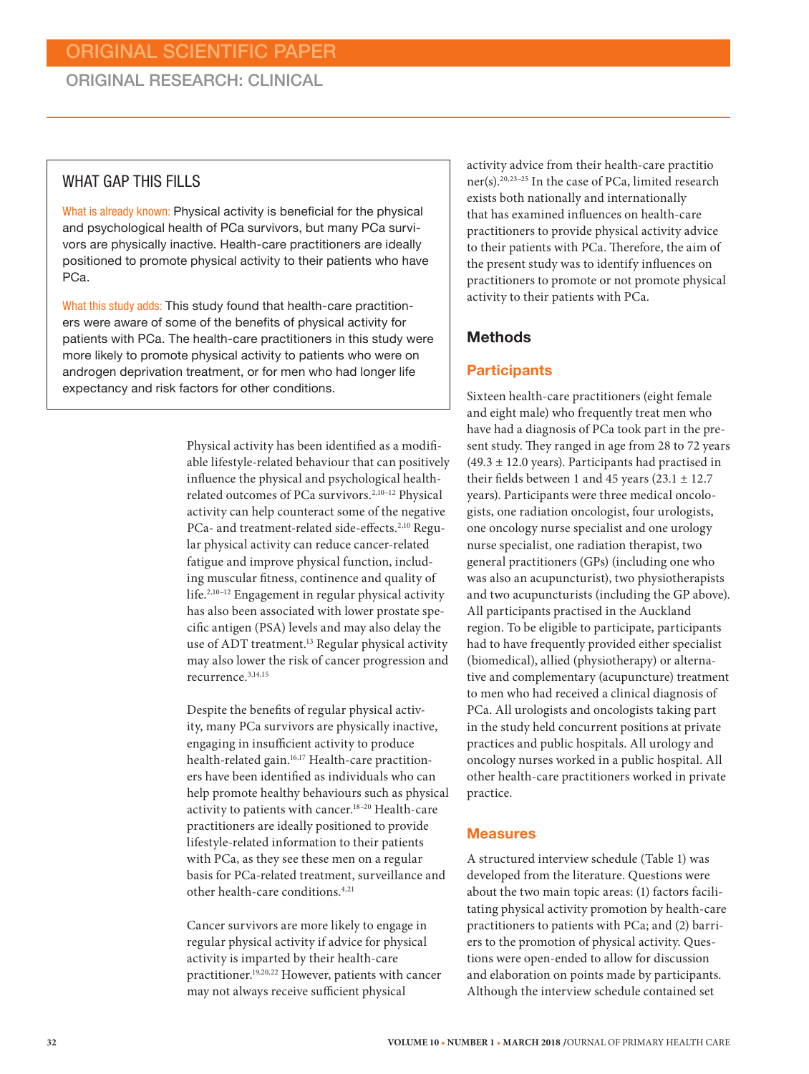## WHAT GAP THIS FILLS

What is already known: Physical activity is beneficial for the physical and psychological health of PCa survivors, but many PCa survivors are physically inactive. Health-care practitioners are ideally positioned to promote physical activity to their patients who have PCa.

What this study adds: This study found that health-care practitioners were aware of some of the benefits of physical activity for patients with PCa. The health-care practitioners in this study were more likely to promote physical activity to patients who were on androgen deprivation treatment, or for men who had longer life expectancy and risk factors for other conditions.

> Physical activity has been identified as a modifiable lifestyle-related behaviour that can positively influence the physical and psychological healthrelated outcomes of PCa survivors.<sup>2,10-12</sup> Physical activity can help counteract some of the negative PCa- and treatment-related side-effects.<sup>2,10</sup> Regular physical activity can reduce cancer-related fatigue and improve physical function, including muscular fitness, continence and quality of life.2,10–12 Engagement in regular physical activity has also been associated with lower prostate specific antigen (PSA) levels and may also delay the use of ADT treatment.<sup>13</sup> Regular physical activity may also lower the risk of cancer progression and recurrence.3,14,15

> Despite the benefits of regular physical activity, many PCa survivors are physically inactive, engaging in insufficient activity to produce health-related gain.<sup>16,17</sup> Health-care practitioners have been identified as individuals who can help promote healthy behaviours such as physical activity to patients with cancer.18–20 Health-care practitioners are ideally positioned to provide lifestyle-related information to their patients with PCa, as they see these men on a regular basis for PCa-related treatment, surveillance and other health-care conditions.4,21

Cancer survivors are more likely to engage in regular physical activity if advice for physical activity is imparted by their health-care practitioner.19,20,22 However, patients with cancer may not always receive sufficient physical

activity advice from their health-care practitio ner(s).20,23–25 In the case of PCa, limited research exists both nationally and internationally that has examined influences on health-care practitioners to provide physical activity advice to their patients with PCa. Therefore, the aim of the present study was to identify influences on practitioners to promote or not promote physical activity to their patients with PCa.

#### Methods

#### **Participants**

Sixteen health-care practitioners (eight female and eight male) who frequently treat men who have had a diagnosis of PCa took part in the present study. They ranged in age from 28 to 72 years (49.3  $\pm$  12.0 years). Participants had practised in their fields between 1 and 45 years (23.1  $\pm$  12.7 years). Participants were three medical oncologists, one radiation oncologist, four urologists, one oncology nurse specialist and one urology nurse specialist, one radiation therapist, two general practitioners (GPs) (including one who was also an acupuncturist), two physiotherapists and two acupuncturists (including the GP above). All participants practised in the Auckland region. To be eligible to participate, participants had to have frequently provided either specialist (biomedical), allied (physiotherapy) or alternative and complementary (acupuncture) treatment to men who had received a clinical diagnosis of PCa. All urologists and oncologists taking part in the study held concurrent positions at private practices and public hospitals. All urology and oncology nurses worked in a public hospital. All other health-care practitioners worked in private practice.

#### Measures

A structured interview schedule (Table 1) was developed from the literature. Questions were about the two main topic areas: (1) factors facilitating physical activity promotion by health-care practitioners to patients with PCa; and (2) barriers to the promotion of physical activity. Questions were open-ended to allow for discussion and elaboration on points made by participants. Although the interview schedule contained set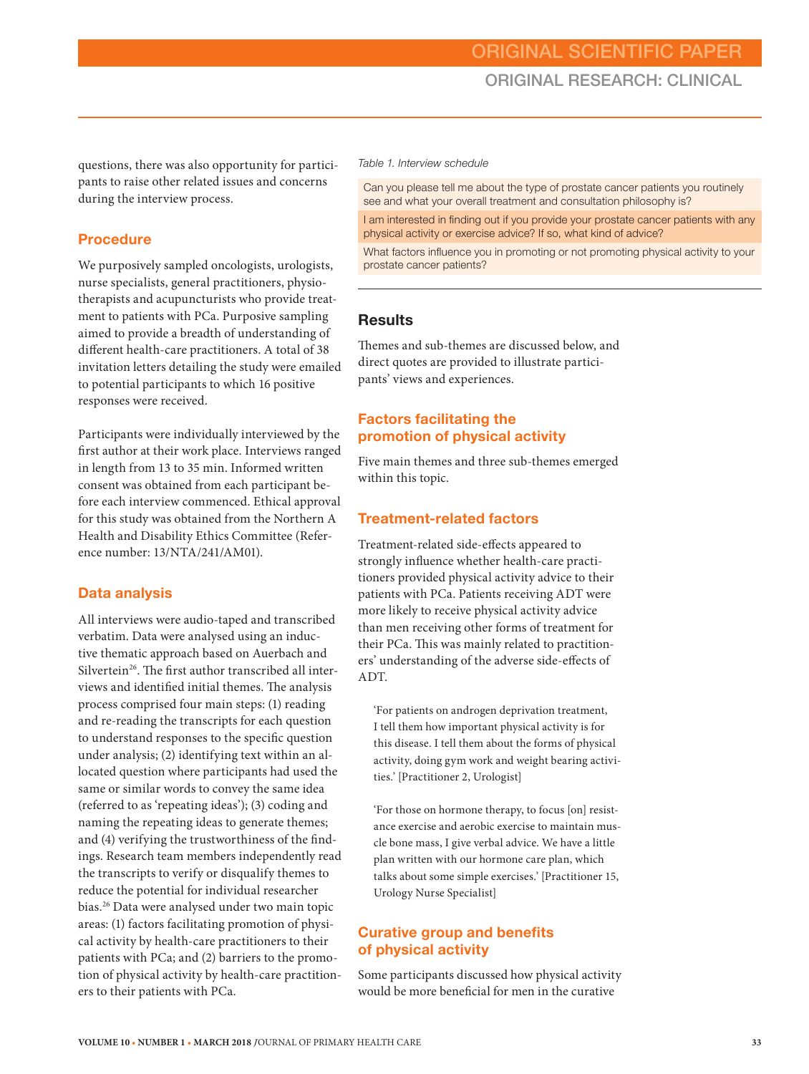questions, there was also opportunity for participants to raise other related issues and concerns during the interview process.

#### Procedure

We purposively sampled oncologists, urologists, nurse specialists, general practitioners, physiotherapists and acupuncturists who provide treatment to patients with PCa. Purposive sampling aimed to provide a breadth of understanding of different health-care practitioners. A total of 38 invitation letters detailing the study were emailed to potential participants to which 16 positive responses were received.

Participants were individually interviewed by the first author at their work place. Interviews ranged in length from 13 to 35 min. Informed written consent was obtained from each participant before each interview commenced. Ethical approval for this study was obtained from the Northern A Health and Disability Ethics Committee (Reference number: 13/NTA/241/AM01).

### Data analysis

All interviews were audio-taped and transcribed verbatim. Data were analysed using an inductive thematic approach based on Auerbach and Silvertein<sup>26</sup>. The first author transcribed all interviews and identified initial themes. The analysis process comprised four main steps: (1) reading and re-reading the transcripts for each question to understand responses to the specific question under analysis; (2) identifying text within an allocated question where participants had used the same or similar words to convey the same idea (referred to as 'repeating ideas'); (3) coding and naming the repeating ideas to generate themes; and (4) verifying the trustworthiness of the findings. Research team members independently read the transcripts to verify or disqualify themes to reduce the potential for individual researcher bias.26 Data were analysed under two main topic areas: (1) factors facilitating promotion of physical activity by health-care practitioners to their patients with PCa; and (2) barriers to the promotion of physical activity by health-care practitioners to their patients with PCa.

Table 1. Interview schedule

Can you please tell me about the type of prostate cancer patients you routinely see and what your overall treatment and consultation philosophy is?

I am interested in finding out if you provide your prostate cancer patients with any physical activity or exercise advice? If so, what kind of advice?

What factors influence you in promoting or not promoting physical activity to your prostate cancer patients?

#### **Results**

Themes and sub-themes are discussed below, and direct quotes are provided to illustrate participants' views and experiences.

#### Factors facilitating the promotion of physical activity

Five main themes and three sub-themes emerged within this topic.

#### Treatment-related factors

Treatment-related side-effects appeared to strongly influence whether health-care practitioners provided physical activity advice to their patients with PCa. Patients receiving ADT were more likely to receive physical activity advice than men receiving other forms of treatment for their PCa. This was mainly related to practitioners' understanding of the adverse side-effects of ADT.

'For patients on androgen deprivation treatment, I tell them how important physical activity is for this disease. I tell them about the forms of physical activity, doing gym work and weight bearing activities.' [Practitioner 2, Urologist]

'For those on hormone therapy, to focus [on] resistance exercise and aerobic exercise to maintain muscle bone mass, I give verbal advice. We have a little plan written with our hormone care plan, which talks about some simple exercises.' [Practitioner 15, Urology Nurse Specialist]

#### Curative group and benefits of physical activity

Some participants discussed how physical activity would be more beneficial for men in the curative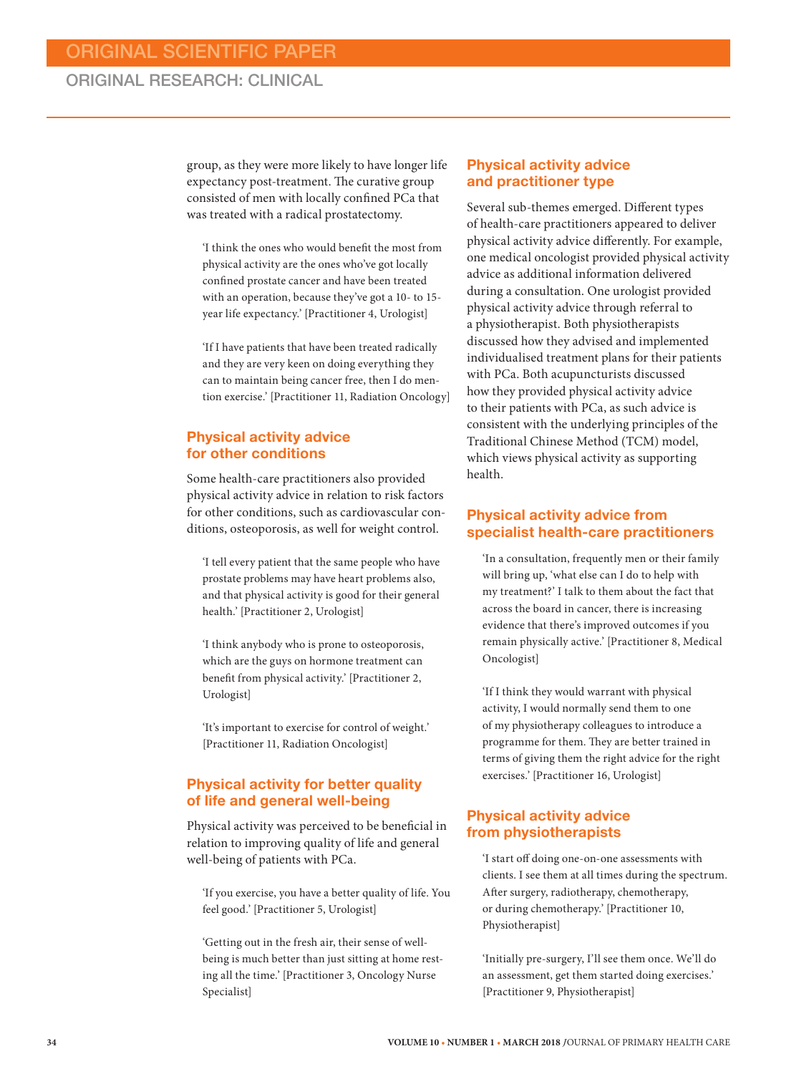group, as they were more likely to have longer life expectancy post-treatment. The curative group consisted of men with locally confined PCa that was treated with a radical prostatectomy.

'I think the ones who would benefit the most from physical activity are the ones who've got locally confined prostate cancer and have been treated with an operation, because they've got a 10- to 15 year life expectancy.' [Practitioner 4, Urologist]

'If I have patients that have been treated radically and they are very keen on doing everything they can to maintain being cancer free, then I do mention exercise.' [Practitioner 11, Radiation Oncology]

#### Physical activity advice for other conditions

Some health-care practitioners also provided physical activity advice in relation to risk factors for other conditions, such as cardiovascular conditions, osteoporosis, as well for weight control.

'I tell every patient that the same people who have prostate problems may have heart problems also, and that physical activity is good for their general health.' [Practitioner 2, Urologist]

'I think anybody who is prone to osteoporosis, which are the guys on hormone treatment can benefit from physical activity.' [Practitioner 2, Urologist]

'It's important to exercise for control of weight.' [Practitioner 11, Radiation Oncologist]

#### Physical activity for better quality of life and general well-being

Physical activity was perceived to be beneficial in relation to improving quality of life and general well-being of patients with PCa.

'If you exercise, you have a better quality of life. You feel good.' [Practitioner 5, Urologist]

'Getting out in the fresh air, their sense of wellbeing is much better than just sitting at home resting all the time.' [Practitioner 3, Oncology Nurse Specialist]

#### Physical activity advice and practitioner type

Several sub-themes emerged. Different types of health-care practitioners appeared to deliver physical activity advice differently. For example, one medical oncologist provided physical activity advice as additional information delivered during a consultation. One urologist provided physical activity advice through referral to a physiotherapist. Both physiotherapists discussed how they advised and implemented individualised treatment plans for their patients with PCa. Both acupuncturists discussed how they provided physical activity advice to their patients with PCa, as such advice is consistent with the underlying principles of the Traditional Chinese Method (TCM) model, which views physical activity as supporting health.

#### Physical activity advice from specialist health-care practitioners

'In a consultation, frequently men or their family will bring up, 'what else can I do to help with my treatment?' I talk to them about the fact that across the board in cancer, there is increasing evidence that there's improved outcomes if you remain physically active.' [Practitioner 8, Medical Oncologist]

'If I think they would warrant with physical activity, I would normally send them to one of my physiotherapy colleagues to introduce a programme for them. They are better trained in terms of giving them the right advice for the right exercises.' [Practitioner 16, Urologist]

#### Physical activity advice from physiotherapists

'I start off doing one-on-one assessments with clients. I see them at all times during the spectrum. After surgery, radiotherapy, chemotherapy, or during chemotherapy.' [Practitioner 10, Physiotherapist]

'Initially pre-surgery, I'll see them once. We'll do an assessment, get them started doing exercises.' [Practitioner 9, Physiotherapist]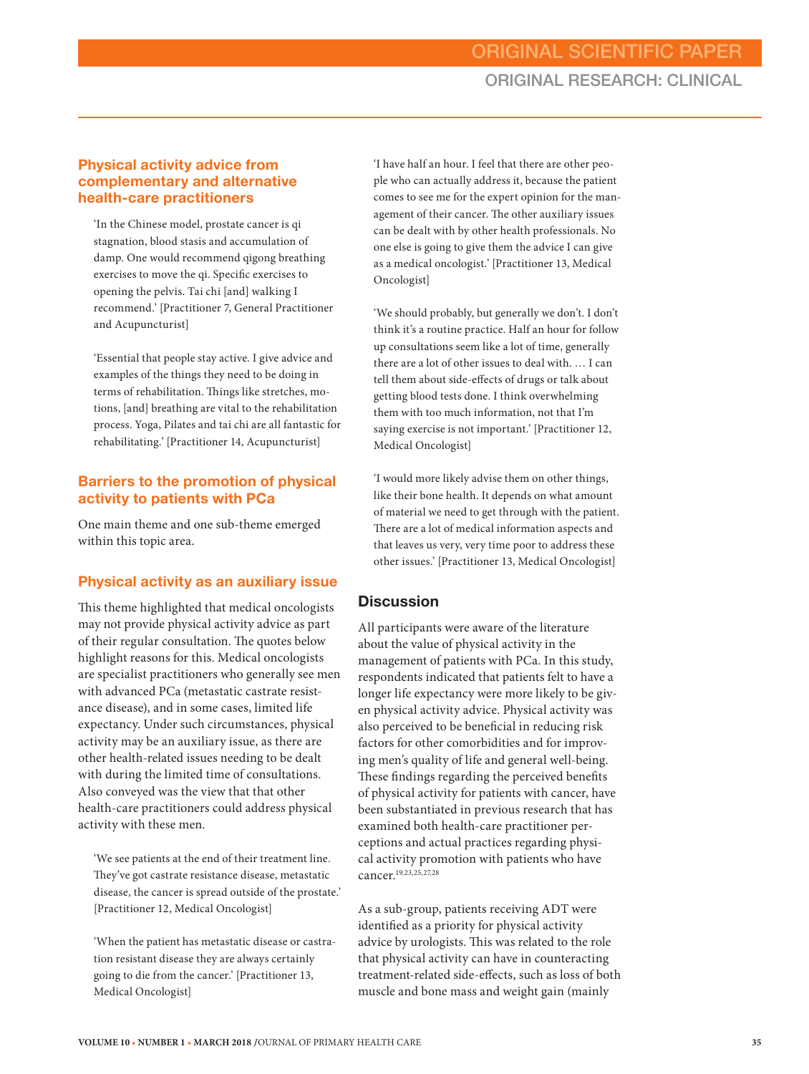#### Physical activity advice from complementary and alternative health-care practitioners

'In the Chinese model, prostate cancer is qi stagnation, blood stasis and accumulation of damp. One would recommend qigong breathing exercises to move the qi. Specific exercises to opening the pelvis. Tai chi [and] walking I recommend.' [Practitioner 7, General Practitioner and Acupuncturist]

'Essential that people stay active. I give advice and examples of the things they need to be doing in terms of rehabilitation. Things like stretches, motions, [and] breathing are vital to the rehabilitation process. Yoga, Pilates and tai chi are all fantastic for rehabilitating.' [Practitioner 14, Acupuncturist]

#### Barriers to the promotion of physical activity to patients with PCa

One main theme and one sub-theme emerged within this topic area.

#### Physical activity as an auxiliary issue

This theme highlighted that medical oncologists may not provide physical activity advice as part of their regular consultation. The quotes below highlight reasons for this. Medical oncologists are specialist practitioners who generally see men with advanced PCa (metastatic castrate resistance disease), and in some cases, limited life expectancy. Under such circumstances, physical activity may be an auxiliary issue, as there are other health-related issues needing to be dealt with during the limited time of consultations. Also conveyed was the view that that other health-care practitioners could address physical activity with these men.

'We see patients at the end of their treatment line. They've got castrate resistance disease, metastatic disease, the cancer is spread outside of the prostate.' [Practitioner 12, Medical Oncologist]

'When the patient has metastatic disease or castration resistant disease they are always certainly going to die from the cancer.' [Practitioner 13, Medical Oncologist]

'I have half an hour. I feel that there are other people who can actually address it, because the patient comes to see me for the expert opinion for the management of their cancer. The other auxiliary issues can be dealt with by other health professionals. No one else is going to give them the advice I can give as a medical oncologist.' [Practitioner 13, Medical Oncologist]

'We should probably, but generally we don't. I don't think it's a routine practice. Half an hour for follow up consultations seem like a lot of time, generally there are a lot of other issues to deal with. … I can tell them about side-effects of drugs or talk about getting blood tests done. I think overwhelming them with too much information, not that I'm saying exercise is not important.' [Practitioner 12, Medical Oncologist]

'I would more likely advise them on other things, like their bone health. It depends on what amount of material we need to get through with the patient. There are a lot of medical information aspects and that leaves us very, very time poor to address these other issues.' [Practitioner 13, Medical Oncologist]

### **Discussion**

All participants were aware of the literature about the value of physical activity in the management of patients with PCa. In this study, respondents indicated that patients felt to have a longer life expectancy were more likely to be given physical activity advice. Physical activity was also perceived to be beneficial in reducing risk factors for other comorbidities and for improving men's quality of life and general well-being. These findings regarding the perceived benefits of physical activity for patients with cancer, have been substantiated in previous research that has examined both health-care practitioner perceptions and actual practices regarding physical activity promotion with patients who have cancer.19,23,25,27,28

As a sub-group, patients receiving ADT were identified as a priority for physical activity advice by urologists. This was related to the role that physical activity can have in counteracting treatment-related side-effects, such as loss of both muscle and bone mass and weight gain (mainly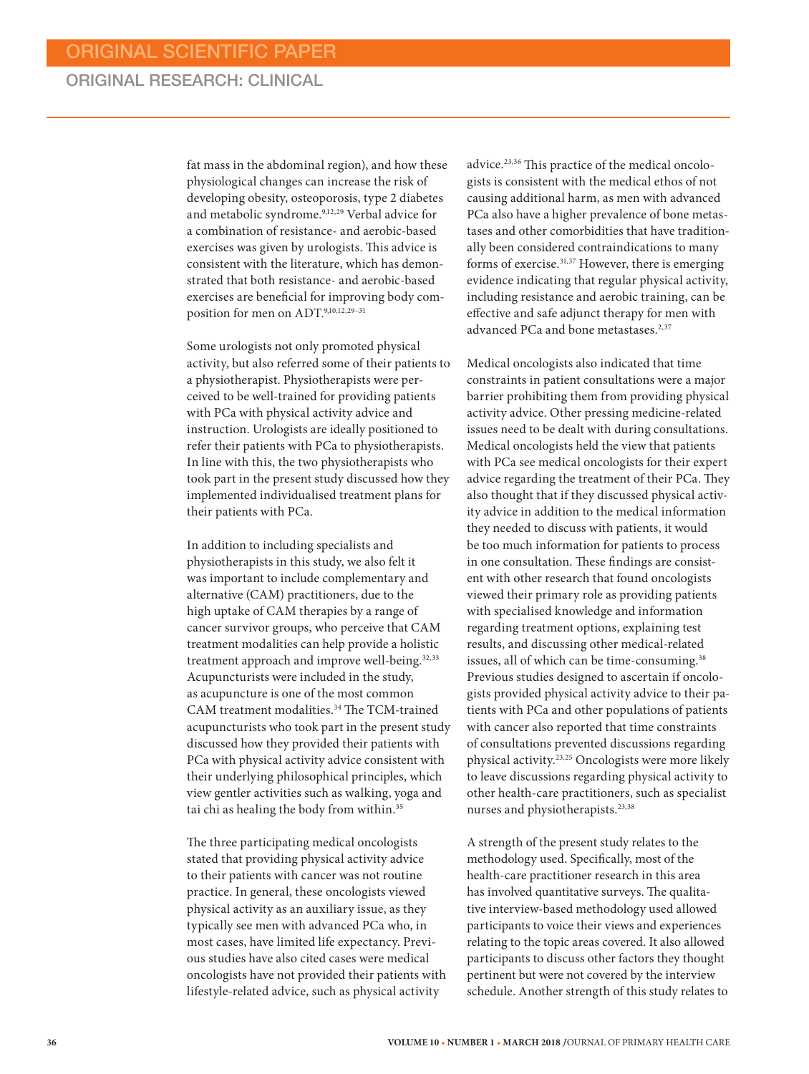fat mass in the abdominal region), and how these physiological changes can increase the risk of developing obesity, osteoporosis, type 2 diabetes and metabolic syndrome.9,12,29 Verbal advice for a combination of resistance- and aerobic-based exercises was given by urologists. This advice is consistent with the literature, which has demonstrated that both resistance- and aerobic-based exercises are beneficial for improving body composition for men on ADT. 9,10,12,29–31

Some urologists not only promoted physical activity, but also referred some of their patients to a physiotherapist. Physiotherapists were perceived to be well-trained for providing patients with PCa with physical activity advice and instruction. Urologists are ideally positioned to refer their patients with PCa to physiotherapists. In line with this, the two physiotherapists who took part in the present study discussed how they implemented individualised treatment plans for their patients with PCa.

In addition to including specialists and physiotherapists in this study, we also felt it was important to include complementary and alternative (CAM) practitioners, due to the high uptake of CAM therapies by a range of cancer survivor groups, who perceive that CAM treatment modalities can help provide a holistic treatment approach and improve well-being.<sup>32,33</sup> Acupuncturists were included in the study, as acupuncture is one of the most common CAM treatment modalities.34 The TCM-trained acupuncturists who took part in the present study discussed how they provided their patients with PCa with physical activity advice consistent with their underlying philosophical principles, which view gentler activities such as walking, yoga and tai chi as healing the body from within.<sup>35</sup>

The three participating medical oncologists stated that providing physical activity advice to their patients with cancer was not routine practice. In general, these oncologists viewed physical activity as an auxiliary issue, as they typically see men with advanced PCa who, in most cases, have limited life expectancy. Previous studies have also cited cases were medical oncologists have not provided their patients with lifestyle-related advice, such as physical activity

advice.23,36 This practice of the medical oncologists is consistent with the medical ethos of not causing additional harm, as men with advanced PCa also have a higher prevalence of bone metastases and other comorbidities that have traditionally been considered contraindications to many forms of exercise.31,37 However, there is emerging evidence indicating that regular physical activity, including resistance and aerobic training, can be effective and safe adjunct therapy for men with advanced PCa and bone metastases.<sup>2,37</sup>

Medical oncologists also indicated that time constraints in patient consultations were a major barrier prohibiting them from providing physical activity advice. Other pressing medicine-related issues need to be dealt with during consultations. Medical oncologists held the view that patients with PCa see medical oncologists for their expert advice regarding the treatment of their PCa. They also thought that if they discussed physical activity advice in addition to the medical information they needed to discuss with patients, it would be too much information for patients to process in one consultation. These findings are consistent with other research that found oncologists viewed their primary role as providing patients with specialised knowledge and information regarding treatment options, explaining test results, and discussing other medical-related issues, all of which can be time-consuming.<sup>38</sup> Previous studies designed to ascertain if oncologists provided physical activity advice to their patients with PCa and other populations of patients with cancer also reported that time constraints of consultations prevented discussions regarding physical activity.23,25 Oncologists were more likely to leave discussions regarding physical activity to other health-care practitioners, such as specialist nurses and physiotherapists.23,38

A strength of the present study relates to the methodology used. Specifically, most of the health-care practitioner research in this area has involved quantitative surveys. The qualitative interview-based methodology used allowed participants to voice their views and experiences relating to the topic areas covered. It also allowed participants to discuss other factors they thought pertinent but were not covered by the interview schedule. Another strength of this study relates to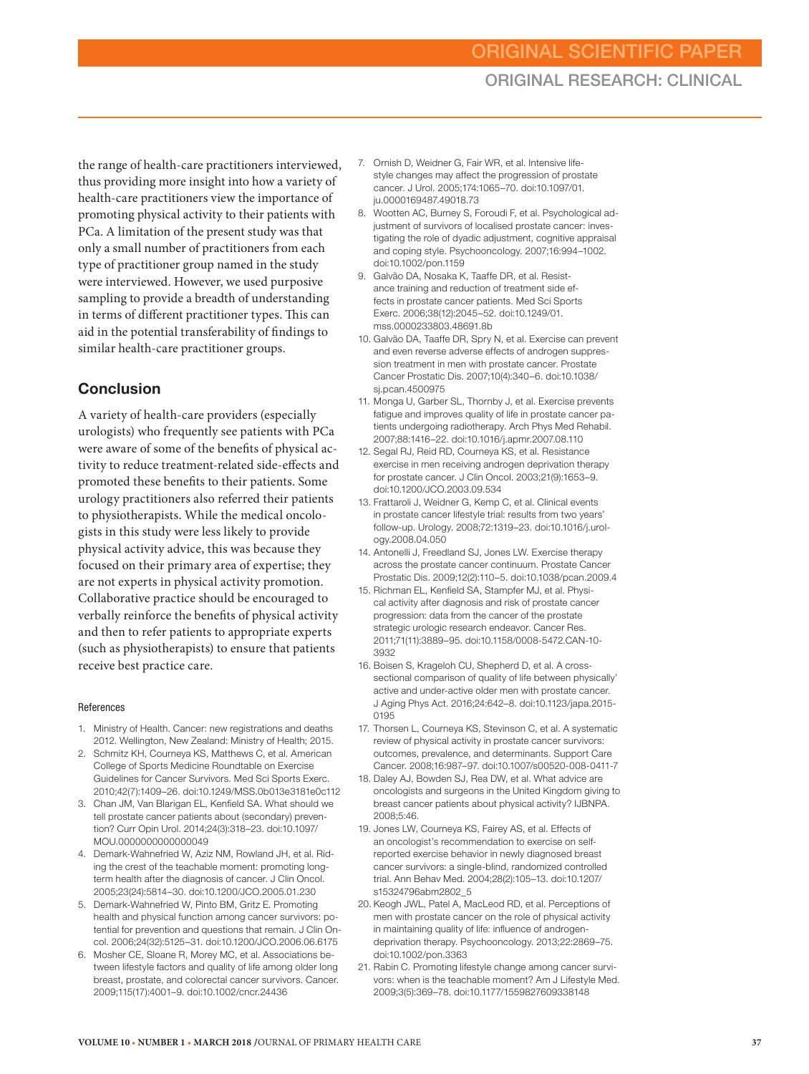the range of health-care practitioners interviewed, thus providing more insight into how a variety of health-care practitioners view the importance of promoting physical activity to their patients with PCa. A limitation of the present study was that only a small number of practitioners from each type of practitioner group named in the study were interviewed. However, we used purposive sampling to provide a breadth of understanding in terms of different practitioner types. This can aid in the potential transferability of findings to similar health-care practitioner groups.

# Conclusion

A variety of health-care providers (especially urologists) who frequently see patients with PCa were aware of some of the benefits of physical activity to reduce treatment-related side-effects and promoted these benefits to their patients. Some urology practitioners also referred their patients to physiotherapists. While the medical oncologists in this study were less likely to provide physical activity advice, this was because they focused on their primary area of expertise; they are not experts in physical activity promotion. Collaborative practice should be encouraged to verbally reinforce the benefits of physical activity and then to refer patients to appropriate experts (such as physiotherapists) to ensure that patients receive best practice care.

#### References

- 1. Ministry of Health. Cancer: new registrations and deaths 2012. Wellington, New Zealand: Ministry of Health; 2015.
- 2. Schmitz KH, Courneya KS, Matthews C, et al. American College of Sports Medicine Roundtable on Exercise Guidelines for Cancer Survivors. Med Sci Sports Exerc. 2010;42(7):1409–26. doi:10.1249/MSS.0b013e3181e0c112
- 3. Chan JM, Van Blarigan EL, Kenfield SA. What should we tell prostate cancer patients about (secondary) prevention? Curr Opin Urol. 2014;24(3):318–23. doi:10.1097/ MOU.0000000000000049
- 4. Demark-Wahnefried W, Aziz NM, Rowland JH, et al. Riding the crest of the teachable moment: promoting longterm health after the diagnosis of cancer. J Clin Oncol. 2005;23(24):5814–30. doi:10.1200/JCO.2005.01.230
- 5. Demark-Wahnefried W, Pinto BM, Gritz E. Promoting health and physical function among cancer survivors: potential for prevention and questions that remain. J Clin Oncol. 2006;24(32):5125–31. doi:10.1200/JCO.2006.06.6175
- 6. Mosher CE, Sloane R, Morey MC, et al. Associations between lifestyle factors and quality of life among older long breast, prostate, and colorectal cancer survivors. Cancer. 2009;115(17):4001–9. doi:10.1002/cncr.24436
- 7. Ornish D, Weidner G, Fair WR, et al. Intensive lifestyle changes may affect the progression of prostate cancer. J Urol. 2005;174:1065–70. doi:10.1097/01. ju.0000169487.49018.73
- 8. Wootten AC, Burney S, Foroudi F, et al. Psychological adjustment of survivors of localised prostate cancer: investigating the role of dyadic adjustment, cognitive appraisal and coping style. Psychooncology. 2007;16:994–1002. doi:10.1002/pon.1159
- 9. Galvão DA, Nosaka K, Taaffe DR, et al. Resistance training and reduction of treatment side effects in prostate cancer patients. Med Sci Sports Exerc. 2006;38(12):2045–52. doi:10.1249/01. mss.0000233803.48691.8b
- 10. Galvão DA, Taaffe DR, Spry N, et al. Exercise can prevent and even reverse adverse effects of androgen suppression treatment in men with prostate cancer. Prostate Cancer Prostatic Dis. 2007;10(4):340–6. doi:10.1038/ sj.pcan.4500975
- 11. Monga U, Garber SL, Thornby J, et al. Exercise prevents fatigue and improves quality of life in prostate cancer patients undergoing radiotherapy. Arch Phys Med Rehabil. 2007;88:1416–22. doi:10.1016/j.apmr.2007.08.110
- 12. Segal RJ, Reid RD, Courneya KS, et al. Resistance exercise in men receiving androgen deprivation therapy for prostate cancer. J Clin Oncol. 2003;21(9):1653–9. doi:10.1200/JCO.2003.09.534
- 13. Frattaroli J, Weidner G, Kemp C, et al. Clinical events in prostate cancer lifestyle trial: results from two years' follow-up. Urology. 2008;72:1319–23. doi:10.1016/j.urology.2008.04.050
- 14. Antonelli J, Freedland SJ, Jones LW. Exercise therapy across the prostate cancer continuum. Prostate Cancer Prostatic Dis. 2009;12(2):110–5. doi:10.1038/pcan.2009.4
- 15. Richman EL, Kenfield SA, Stampfer MJ, et al. Physical activity after diagnosis and risk of prostate cancer progression: data from the cancer of the prostate strategic urologic research endeavor. Cancer Res. 2011;71(11):3889–95. doi:10.1158/0008-5472.CAN-10- 3932
- 16. Boisen S, Krageloh CU, Shepherd D, et al. A crosssectional comparison of quality of life between physically' active and under-active older men with prostate cancer. J Aging Phys Act. 2016;24:642–8. doi:10.1123/japa.2015- 0195
- 17. Thorsen L, Courneya KS, Stevinson C, et al. A systematic review of physical activity in prostate cancer survivors: outcomes, prevalence, and determinants. Support Care Cancer. 2008;16:987–97. doi:10.1007/s00520-008-0411-7
- 18. Daley AJ, Bowden SJ, Rea DW, et al. What advice are oncologists and surgeons in the United Kingdom giving to breast cancer patients about physical activity? IJBNPA. 2008;5:46.
- 19. Jones LW, Courneya KS, Fairey AS, et al. Effects of an oncologist's recommendation to exercise on selfreported exercise behavior in newly diagnosed breast cancer survivors: a single-blind, randomized controlled trial. Ann Behav Med. 2004;28(2):105–13. doi:10.1207/ s15324796abm2802\_5
- 20. Keogh JWL, Patel A, MacLeod RD, et al. Perceptions of men with prostate cancer on the role of physical activity in maintaining quality of life: influence of androgendeprivation therapy. Psychooncology. 2013;22:2869–75. doi:10.1002/pon.3363
- 21. Rabin C. Promoting lifestyle change among cancer survivors: when is the teachable moment? Am J Lifestyle Med. 2009;3(5):369–78. doi:10.1177/1559827609338148